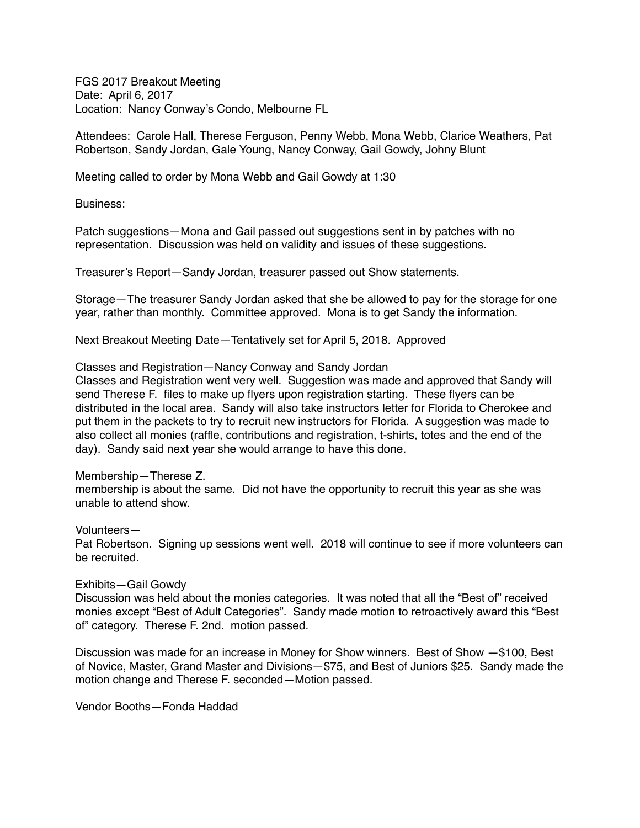FGS 2017 Breakout Meeting Date: April 6, 2017 Location: Nancy Conway's Condo, Melbourne FL

Attendees: Carole Hall, Therese Ferguson, Penny Webb, Mona Webb, Clarice Weathers, Pat Robertson, Sandy Jordan, Gale Young, Nancy Conway, Gail Gowdy, Johny Blunt

Meeting called to order by Mona Webb and Gail Gowdy at 1:30

Business:

Patch suggestions—Mona and Gail passed out suggestions sent in by patches with no representation. Discussion was held on validity and issues of these suggestions.

Treasurer's Report—Sandy Jordan, treasurer passed out Show statements.

Storage—The treasurer Sandy Jordan asked that she be allowed to pay for the storage for one year, rather than monthly. Committee approved. Mona is to get Sandy the information.

Next Breakout Meeting Date—Tentatively set for April 5, 2018. Approved

# Classes and Registration—Nancy Conway and Sandy Jordan

Classes and Registration went very well. Suggestion was made and approved that Sandy will send Therese F. files to make up flyers upon registration starting. These flyers can be distributed in the local area. Sandy will also take instructors letter for Florida to Cherokee and put them in the packets to try to recruit new instructors for Florida. A suggestion was made to also collect all monies (raffle, contributions and registration, t-shirts, totes and the end of the day). Sandy said next year she would arrange to have this done.

# Membership—Therese Z.

membership is about the same. Did not have the opportunity to recruit this year as she was unable to attend show.

# Volunteers—

Pat Robertson. Signing up sessions went well. 2018 will continue to see if more volunteers can be recruited.

# Exhibits—Gail Gowdy

Discussion was held about the monies categories. It was noted that all the "Best of" received monies except "Best of Adult Categories". Sandy made motion to retroactively award this "Best of" category. Therese F. 2nd. motion passed.

Discussion was made for an increase in Money for Show winners. Best of Show —\$100, Best of Novice, Master, Grand Master and Divisions—\$75, and Best of Juniors \$25. Sandy made the motion change and Therese F. seconded—Motion passed.

Vendor Booths—Fonda Haddad